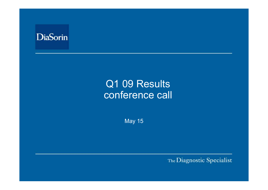

# Q1 09 Results conference call

May 15

The Diagnostic Specialist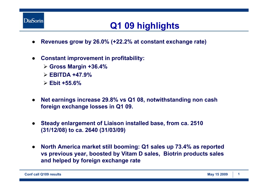

## **Q1 09 highlights**

- ●**Revenues grow by 26.0% (+22.2% at constant exchange rate)**
- ● **Constant improvement in profitability:** 
	- ¾ **Gross Margin +36.4%**
	- ¾ **EBITDA +47.9%**
	- ¾ **Ebit +55.6%**
- $\bullet$  **Net earnings increase 29.8% vs Q1 08, notwithstanding non cash foreign exchange losses in Q1 09.**
- $\bullet$  **Steady enlargement of Liaison installed base, from ca. 2510 (31/12/08) to ca. 2640 (31/03/09)**
- $\bullet$  **North America market still booming: Q1 sales up 73.4% as reported vs previous year, boosted by Vitam D sales, Biotrin products sales and helped by foreign exchange rate**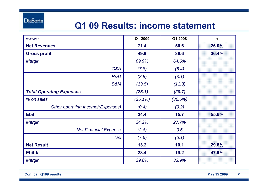**DiaSorin** 

### **Q1 09 Results: income statement**

| millions $\epsilon$               | Q1 2009    | Q1 2008 | $\Delta$ |
|-----------------------------------|------------|---------|----------|
| <b>Net Revenues</b>               | 71.4       | 56.6    | 26.0%    |
| <b>Gross profit</b>               | 49.9       | 36.6    | 36.4%    |
| Margin                            | 69.9%      | 64.6%   |          |
| G&A                               | (7.8)      | (6.4)   |          |
| R&D                               | (3.8)      | (3.1)   |          |
| <b>S&amp;M</b>                    | (13.5)     | (11.3)  |          |
| <b>Total Operating Expenses</b>   | (25.1)     | (20.7)  |          |
| % on sales                        | $(35.1\%)$ | (36.6%) |          |
| Other operating Income/(Expenses) | (0.4)      | (0.2)   |          |
| <b>Ebit</b>                       | 24.4       | 15.7    | 55.6%    |
| Margin                            | 34.2%      | 27.7%   |          |
| <b>Net Financial Expense</b>      | (3.6)      | 0.6     |          |
| Tax                               | (7.6)      | (6.1)   |          |
| <b>Net Result</b>                 | 13.2       | 10.1    | 29.8%    |
| <b>Ebitda</b>                     | 28.4       | 19.2    | 47.9%    |
| Margin                            | 39.8%      | 33.9%   |          |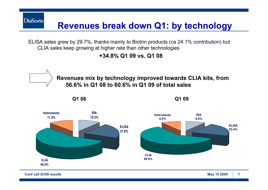ELISA sales grew by 29.7%, thanks mainly to Biotrin products (ca 24.1% contribution) but CLIA sales keep growing at higher rate than other technologies

**Revenues break down Q1: by technology**

**+34.8% Q1 09 vs. Q1 08**



**Conf call Q109 results May 15 2009 3**

**DiaSorin**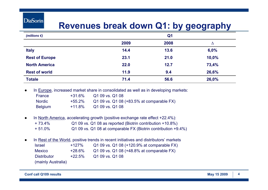#### **DiaSorin**

#### **Revenues break down Q1: by geography**

| (millions $\epsilon$ ) |      | Q <sub>1</sub> |       |
|------------------------|------|----------------|-------|
|                        | 2009 | 2008           | Δ     |
| <b>Italy</b>           | 14.4 | 13.6           | 6,0%  |
| <b>Rest of Europe</b>  | 23.1 | 21.0           | 10,0% |
| <b>North America</b>   | 22.0 | 12.7           | 73,4% |
| <b>Rest of world</b>   | 11.9 | 9.4            | 26,6% |
| <b>Totale</b>          | 71.4 | 56.6           | 26,0% |

●In Europe, increased market share in consolidated as well as in developing markets:

| France         | +31.6%    | Q1 09 vs. Q1 08                           |
|----------------|-----------|-------------------------------------------|
| Nordic         | +55.2%    | Q1 09 vs. Q1 08 (+83.5% at comparable FX) |
| <b>Belgium</b> | $+11.8\%$ | Q1 09 vs. Q1 08                           |

- ● In North America, accelerating growth (positive exchange rate effect +22.4%):  $+ 73.4%$  Q1 09 vs. Q1 08 as reported (Biotrin contribution +10.8%) + 51.0%Q1 09 vs. Q1 08 at comparable FX (Biotrin contribution +9.4%)
- ● In Rest of the World, positive trends in recent initiatives and distributors' markets Israel +127% Q1 09 vs. Q1 08 (+120.9% at comparable FX) **Mexico**  +28.6% Q1 09 vs. Q1 08 (+48.8% at comparable FX) **Distributor**  +22.5%Q1 09 vs. Q1 08

(mainly Australia)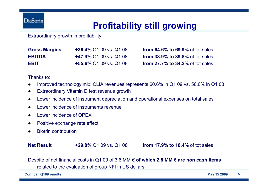**DiaSorin** 

#### **Profitability still growing**

Extraordinary growth in profitability:

| <b>Gross Margins</b> | +36.4% Q1 09 vs. Q1 08        |
|----------------------|-------------------------------|
| <b>EBITDA</b>        | <b>+47.9% Q1 09 vs. Q1 08</b> |
| <b>EBIT</b>          | $+55.6\%$ Q1 09 vs. Q1 08     |

**from 64.6% to 69.9% of tot sales from 33.9% to 39.8% of tot sales from 27.7% to 34.2% of tot sales** 

Thanks to:

- ●Improved technology mix: CLIA revenues represents 60.6% in Q1 09 vs. 56.6% in Q1 08
- ●Extraordinary Vitamin D test revenue growth
- ●Lower incidence of instrument depreciation and operational expenses on total sales
- ●Lower incidence of instruments revenue
- ●Lower incidence of OPEX
- ●Positive exchange rate effect
- ●Biotrin contribution

#### **Net Result**

**+29.8%** Q1 09 vs. Q1 08 **from 17.9% to 18.4%** of tot sales

Despite of net financial costs in Q1 09 of 3.6 MM € **of which 2.8 MM € are non cash items**  related to the evaluation of group NFI in US dollars

**Conf call Q109 results May 15 2009 <sup>5</sup>**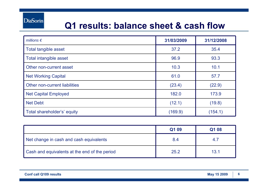#### **Q1 results: balance sheet & cash flow**

| millions $\epsilon$           | 31/03/2009 | 31/12/2008 |
|-------------------------------|------------|------------|
| <b>Total tangible asset</b>   | 37.2       | 35.4       |
| Total intangible asset        | 96.9       | 93.3       |
| Other non-current asset       | 10.3       | 10.1       |
| <b>Net Working Capital</b>    | 61.0       | 57.7       |
| Other non-current liabilities | (23.4)     | (22.9)     |
| <b>Net Capital Employed</b>   | 182.0      | 173.9      |
| <b>Net Debt</b>               | (12.1)     | (19.8)     |
| Total shareholder's' equity   | (169.9)    | (154.1)    |

|                                               | Q1 09 | Q1 08 |
|-----------------------------------------------|-------|-------|
| Net change in cash and cash equivalents       | 8.4   | 4.7   |
| Cash and equivalents at the end of the period | 25.2  | 13.1  |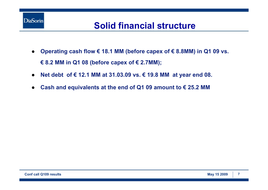

### **Solid financial structure**

- $\bullet$  **Operating cash flow € 18.1 MM (before capex of € 8.8MM) in Q1 09 vs. € 8.2 MM in Q1 08 (before capex of € 2.7MM);**
- ●**Net debt of € 12.1 MM at 31.03.09 vs. € 19.8 MM at year end 08.**
- ●**Cash and equivalents at the end of Q1 09 amount to € 25.2 MM**